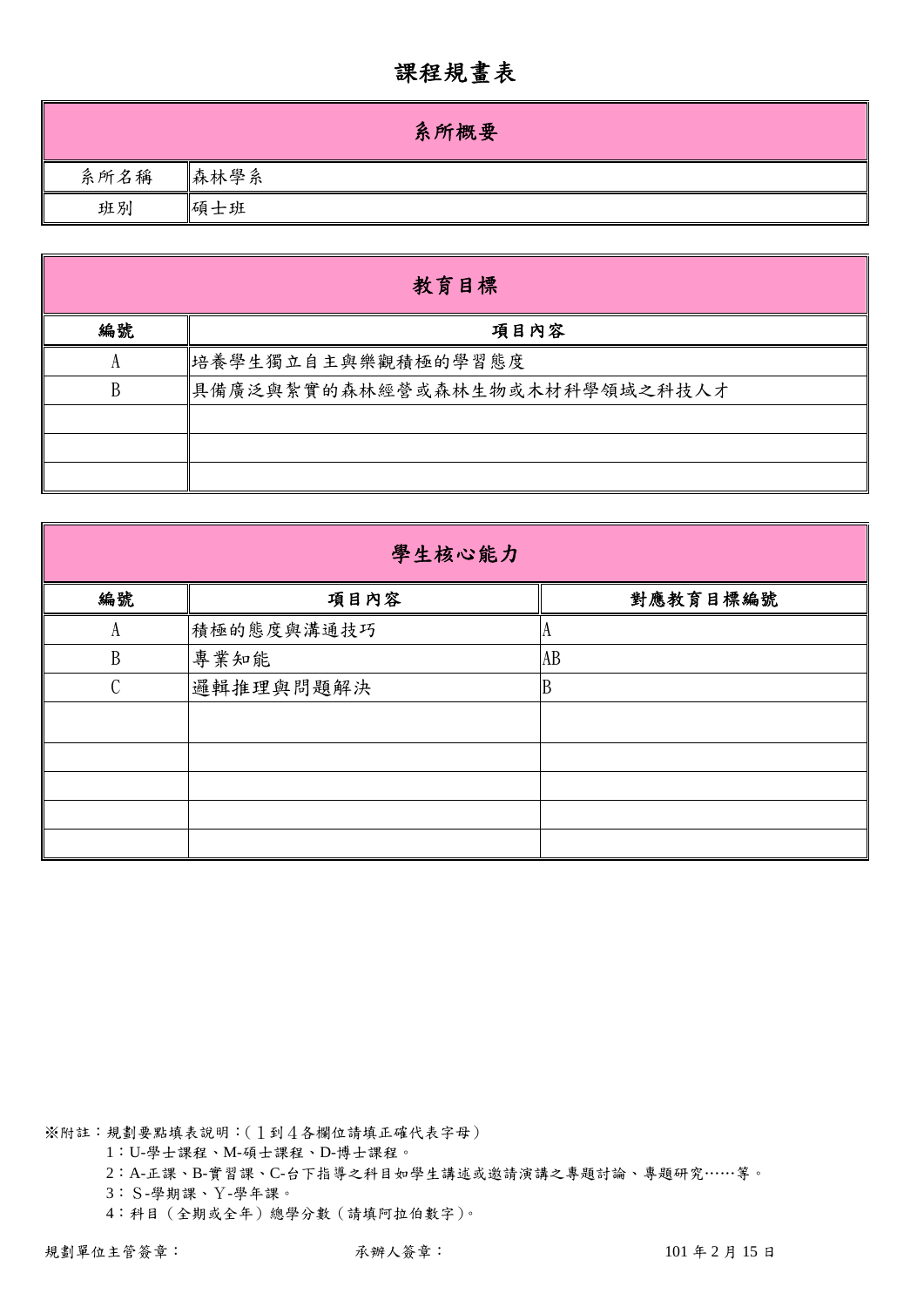## 課程規畫表

|      | 系所概要 |
|------|------|
| 系所名稱 | 森林學系 |
| 班別   | 碩士班  |

|    | 教育目標                          |  |  |  |  |  |  |  |
|----|-------------------------------|--|--|--|--|--|--|--|
| 編號 | 項目內容                          |  |  |  |  |  |  |  |
|    | 培養學生獨立自主與樂觀積極的學習態度            |  |  |  |  |  |  |  |
| B  | 具備廣泛與紮實的森林經營或森林生物或木材科學領域之科技人才 |  |  |  |  |  |  |  |
|    |                               |  |  |  |  |  |  |  |
|    |                               |  |  |  |  |  |  |  |
|    |                               |  |  |  |  |  |  |  |

| 學生核心能力        |            |          |  |  |  |  |  |  |
|---------------|------------|----------|--|--|--|--|--|--|
| 編號            | 項目內容       | 對應教育目標編號 |  |  |  |  |  |  |
| А             | 積極的態度與溝通技巧 |          |  |  |  |  |  |  |
| B             | 專業知能       | AB       |  |  |  |  |  |  |
| $\mathcal{C}$ | 邏輯推理與問題解決  | B        |  |  |  |  |  |  |
|               |            |          |  |  |  |  |  |  |
|               |            |          |  |  |  |  |  |  |
|               |            |          |  |  |  |  |  |  |
|               |            |          |  |  |  |  |  |  |
|               |            |          |  |  |  |  |  |  |

※附註:規劃要點填表說明:(1到4各欄位請填正確代表字母)

1:U-學士課程、M-碩士課程、D-博士課程。

2:A-正課、B-實習課、C-台下指導之科目如學生講述或邀請演講之專題討論、專題研究……等。

3:S-學期課、Y-學年課。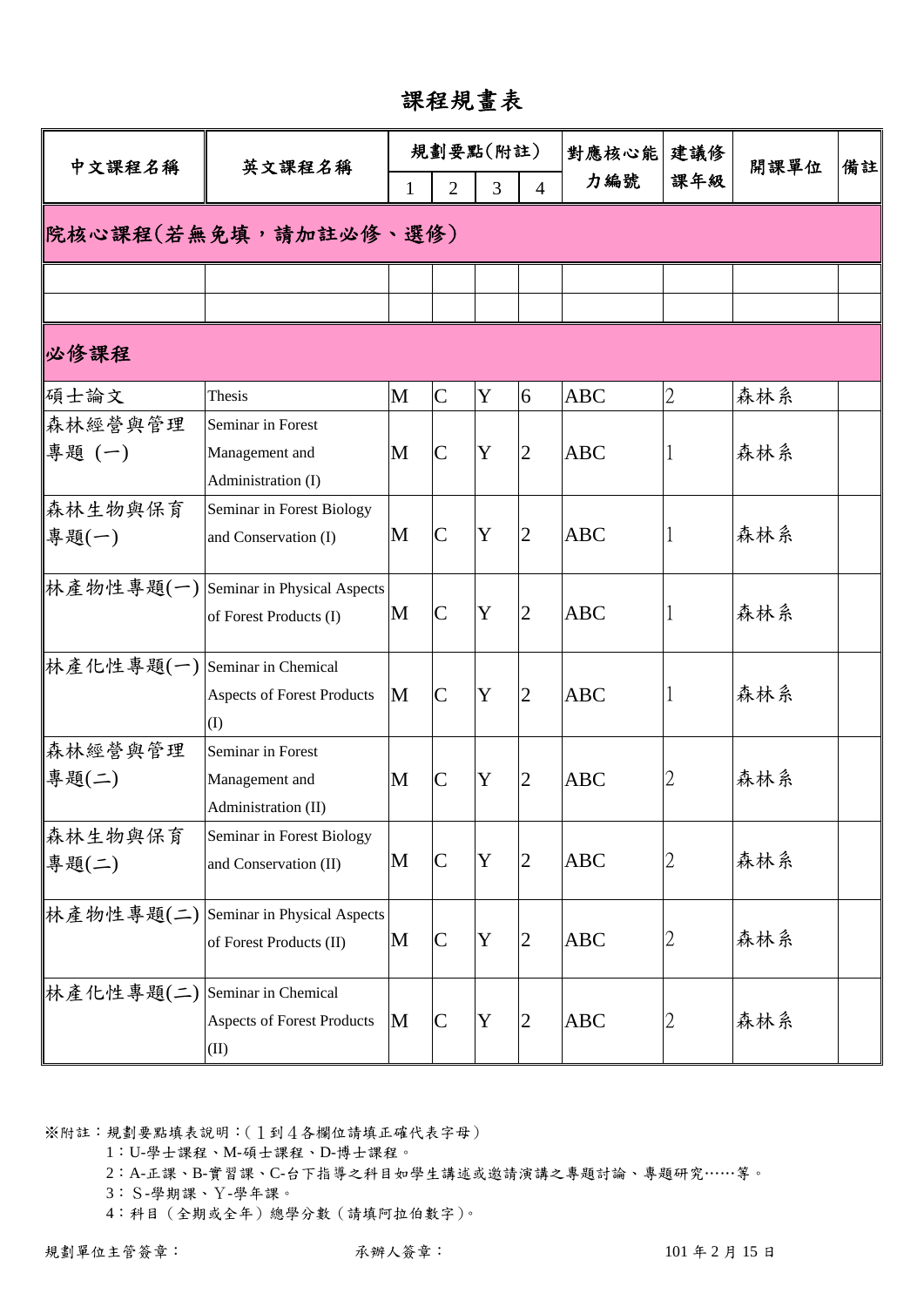## 課程規畫表

| 課年級<br>力編號<br>$\overline{2}$<br>3<br>$\overline{4}$<br>$\mathbf{1}$<br> 院核心課程(若無免填,請加註必修、選修)<br>$\overline{2}$<br>$\overline{C}$<br>Y<br>M<br>森林系<br>6<br><b>ABC</b><br>Thesis<br>Seminar in Forest<br>專題(一)<br>Y<br>$\overline{2}$<br>森林系<br>M<br><b>ABC</b><br>Management and<br>$\mathsf{C}$<br>Administration (I)<br>森林生物與保育<br>Seminar in Forest Biology<br>Y<br>森林系<br>$\mathsf{C}$<br>$\overline{2}$<br>M<br><b>ABC</b><br>專題(一)<br>and Conservation (I)<br>  林產物性專題(一)   Seminar in Physical Aspects<br>Y<br>$\overline{2}$<br>$\overline{C}$<br>M<br><b>ABC</b><br>森林系<br>of Forest Products (I)<br>  林產化性專題(一)   Seminar in Chemical<br>Y<br>$\overline{2}$<br>森林系<br><b>ABC</b><br>M<br><b>Aspects of Forest Products</b><br>C<br>(I)<br>森林經營與管理<br>Seminar in Forest<br>專題(二)<br>Y<br>$\overline{2}$<br>森林系<br>M<br>$\overline{C}$<br><b>ABC</b><br>2<br>Management and<br>Administration (II)<br>Seminar in Forest Biology<br>Y<br>森林系<br>$\overline{2}$<br><b>ABC</b><br>2<br>M<br>$\mathsf{C}$<br>專題(二)<br>and Conservation (II)<br>林產物性專題(二)<br>Seminar in Physical Aspects<br>森林系<br>Y<br><b>ABC</b><br>M<br>$\overline{C}$<br>$\overline{2}$<br>2<br>of Forest Products (II)<br> 林產化性專題(二)<br>Seminar in Chemical<br>$\mathbf Y$<br>森林系<br>2<br><b>ABC</b><br><b>Aspects of Forest Products</b><br>M<br>$\mathsf{C}% _{0}\!\left( \mathcal{M}_{0}\right) ^{T}\!\left( \mathcal{M}_{0}\right) ^{T}\!\left( \mathcal{M}_{0}\right) ^{T}\!\left( \mathcal{M}_{0}\right)$<br>2 | 中文課程名稱  | 英文課程名稱 |  | 規劃要點(附註) |  |  | 對應核心能 | 建議修 | 開課單位 | 備註 |  |  |  |
|----------------------------------------------------------------------------------------------------------------------------------------------------------------------------------------------------------------------------------------------------------------------------------------------------------------------------------------------------------------------------------------------------------------------------------------------------------------------------------------------------------------------------------------------------------------------------------------------------------------------------------------------------------------------------------------------------------------------------------------------------------------------------------------------------------------------------------------------------------------------------------------------------------------------------------------------------------------------------------------------------------------------------------------------------------------------------------------------------------------------------------------------------------------------------------------------------------------------------------------------------------------------------------------------------------------------------------------------------------------------------------------------------------------------------------------------------------------------------------------------|---------|--------|--|----------|--|--|-------|-----|------|----|--|--|--|
|                                                                                                                                                                                                                                                                                                                                                                                                                                                                                                                                                                                                                                                                                                                                                                                                                                                                                                                                                                                                                                                                                                                                                                                                                                                                                                                                                                                                                                                                                              |         |        |  |          |  |  |       |     |      |    |  |  |  |
|                                                                                                                                                                                                                                                                                                                                                                                                                                                                                                                                                                                                                                                                                                                                                                                                                                                                                                                                                                                                                                                                                                                                                                                                                                                                                                                                                                                                                                                                                              |         |        |  |          |  |  |       |     |      |    |  |  |  |
|                                                                                                                                                                                                                                                                                                                                                                                                                                                                                                                                                                                                                                                                                                                                                                                                                                                                                                                                                                                                                                                                                                                                                                                                                                                                                                                                                                                                                                                                                              |         |        |  |          |  |  |       |     |      |    |  |  |  |
|                                                                                                                                                                                                                                                                                                                                                                                                                                                                                                                                                                                                                                                                                                                                                                                                                                                                                                                                                                                                                                                                                                                                                                                                                                                                                                                                                                                                                                                                                              |         |        |  |          |  |  |       |     |      |    |  |  |  |
|                                                                                                                                                                                                                                                                                                                                                                                                                                                                                                                                                                                                                                                                                                                                                                                                                                                                                                                                                                                                                                                                                                                                                                                                                                                                                                                                                                                                                                                                                              | 必修課程    |        |  |          |  |  |       |     |      |    |  |  |  |
|                                                                                                                                                                                                                                                                                                                                                                                                                                                                                                                                                                                                                                                                                                                                                                                                                                                                                                                                                                                                                                                                                                                                                                                                                                                                                                                                                                                                                                                                                              | 碩士論文    |        |  |          |  |  |       |     |      |    |  |  |  |
|                                                                                                                                                                                                                                                                                                                                                                                                                                                                                                                                                                                                                                                                                                                                                                                                                                                                                                                                                                                                                                                                                                                                                                                                                                                                                                                                                                                                                                                                                              | 森林經營與管理 |        |  |          |  |  |       |     |      |    |  |  |  |
|                                                                                                                                                                                                                                                                                                                                                                                                                                                                                                                                                                                                                                                                                                                                                                                                                                                                                                                                                                                                                                                                                                                                                                                                                                                                                                                                                                                                                                                                                              |         |        |  |          |  |  |       |     |      |    |  |  |  |
|                                                                                                                                                                                                                                                                                                                                                                                                                                                                                                                                                                                                                                                                                                                                                                                                                                                                                                                                                                                                                                                                                                                                                                                                                                                                                                                                                                                                                                                                                              |         |        |  |          |  |  |       |     |      |    |  |  |  |
|                                                                                                                                                                                                                                                                                                                                                                                                                                                                                                                                                                                                                                                                                                                                                                                                                                                                                                                                                                                                                                                                                                                                                                                                                                                                                                                                                                                                                                                                                              |         |        |  |          |  |  |       |     |      |    |  |  |  |
|                                                                                                                                                                                                                                                                                                                                                                                                                                                                                                                                                                                                                                                                                                                                                                                                                                                                                                                                                                                                                                                                                                                                                                                                                                                                                                                                                                                                                                                                                              |         |        |  |          |  |  |       |     |      |    |  |  |  |
|                                                                                                                                                                                                                                                                                                                                                                                                                                                                                                                                                                                                                                                                                                                                                                                                                                                                                                                                                                                                                                                                                                                                                                                                                                                                                                                                                                                                                                                                                              |         |        |  |          |  |  |       |     |      |    |  |  |  |
|                                                                                                                                                                                                                                                                                                                                                                                                                                                                                                                                                                                                                                                                                                                                                                                                                                                                                                                                                                                                                                                                                                                                                                                                                                                                                                                                                                                                                                                                                              |         |        |  |          |  |  |       |     |      |    |  |  |  |
|                                                                                                                                                                                                                                                                                                                                                                                                                                                                                                                                                                                                                                                                                                                                                                                                                                                                                                                                                                                                                                                                                                                                                                                                                                                                                                                                                                                                                                                                                              |         |        |  |          |  |  |       |     |      |    |  |  |  |
|                                                                                                                                                                                                                                                                                                                                                                                                                                                                                                                                                                                                                                                                                                                                                                                                                                                                                                                                                                                                                                                                                                                                                                                                                                                                                                                                                                                                                                                                                              |         |        |  |          |  |  |       |     |      |    |  |  |  |
|                                                                                                                                                                                                                                                                                                                                                                                                                                                                                                                                                                                                                                                                                                                                                                                                                                                                                                                                                                                                                                                                                                                                                                                                                                                                                                                                                                                                                                                                                              |         |        |  |          |  |  |       |     |      |    |  |  |  |
|                                                                                                                                                                                                                                                                                                                                                                                                                                                                                                                                                                                                                                                                                                                                                                                                                                                                                                                                                                                                                                                                                                                                                                                                                                                                                                                                                                                                                                                                                              |         |        |  |          |  |  |       |     |      |    |  |  |  |
|                                                                                                                                                                                                                                                                                                                                                                                                                                                                                                                                                                                                                                                                                                                                                                                                                                                                                                                                                                                                                                                                                                                                                                                                                                                                                                                                                                                                                                                                                              |         |        |  |          |  |  |       |     |      |    |  |  |  |
|                                                                                                                                                                                                                                                                                                                                                                                                                                                                                                                                                                                                                                                                                                                                                                                                                                                                                                                                                                                                                                                                                                                                                                                                                                                                                                                                                                                                                                                                                              |         |        |  |          |  |  |       |     |      |    |  |  |  |
|                                                                                                                                                                                                                                                                                                                                                                                                                                                                                                                                                                                                                                                                                                                                                                                                                                                                                                                                                                                                                                                                                                                                                                                                                                                                                                                                                                                                                                                                                              |         |        |  |          |  |  |       |     |      |    |  |  |  |
|                                                                                                                                                                                                                                                                                                                                                                                                                                                                                                                                                                                                                                                                                                                                                                                                                                                                                                                                                                                                                                                                                                                                                                                                                                                                                                                                                                                                                                                                                              | 森林生物與保育 |        |  |          |  |  |       |     |      |    |  |  |  |
|                                                                                                                                                                                                                                                                                                                                                                                                                                                                                                                                                                                                                                                                                                                                                                                                                                                                                                                                                                                                                                                                                                                                                                                                                                                                                                                                                                                                                                                                                              |         |        |  |          |  |  |       |     |      |    |  |  |  |
|                                                                                                                                                                                                                                                                                                                                                                                                                                                                                                                                                                                                                                                                                                                                                                                                                                                                                                                                                                                                                                                                                                                                                                                                                                                                                                                                                                                                                                                                                              |         |        |  |          |  |  |       |     |      |    |  |  |  |
|                                                                                                                                                                                                                                                                                                                                                                                                                                                                                                                                                                                                                                                                                                                                                                                                                                                                                                                                                                                                                                                                                                                                                                                                                                                                                                                                                                                                                                                                                              |         |        |  |          |  |  |       |     |      |    |  |  |  |
|                                                                                                                                                                                                                                                                                                                                                                                                                                                                                                                                                                                                                                                                                                                                                                                                                                                                                                                                                                                                                                                                                                                                                                                                                                                                                                                                                                                                                                                                                              |         |        |  |          |  |  |       |     |      |    |  |  |  |
|                                                                                                                                                                                                                                                                                                                                                                                                                                                                                                                                                                                                                                                                                                                                                                                                                                                                                                                                                                                                                                                                                                                                                                                                                                                                                                                                                                                                                                                                                              |         |        |  |          |  |  |       |     |      |    |  |  |  |
|                                                                                                                                                                                                                                                                                                                                                                                                                                                                                                                                                                                                                                                                                                                                                                                                                                                                                                                                                                                                                                                                                                                                                                                                                                                                                                                                                                                                                                                                                              |         |        |  |          |  |  |       |     |      |    |  |  |  |
| (II)                                                                                                                                                                                                                                                                                                                                                                                                                                                                                                                                                                                                                                                                                                                                                                                                                                                                                                                                                                                                                                                                                                                                                                                                                                                                                                                                                                                                                                                                                         |         |        |  |          |  |  |       |     |      |    |  |  |  |

※附註:規劃要點填表說明:(1到4各欄位請填正確代表字母)

1:U-學士課程、M-碩士課程、D-博士課程。

2:A-正課、B-實習課、C-台下指導之科目如學生講述或邀請演講之專題討論、專題研究……等。

3:S-學期課、Y-學年課。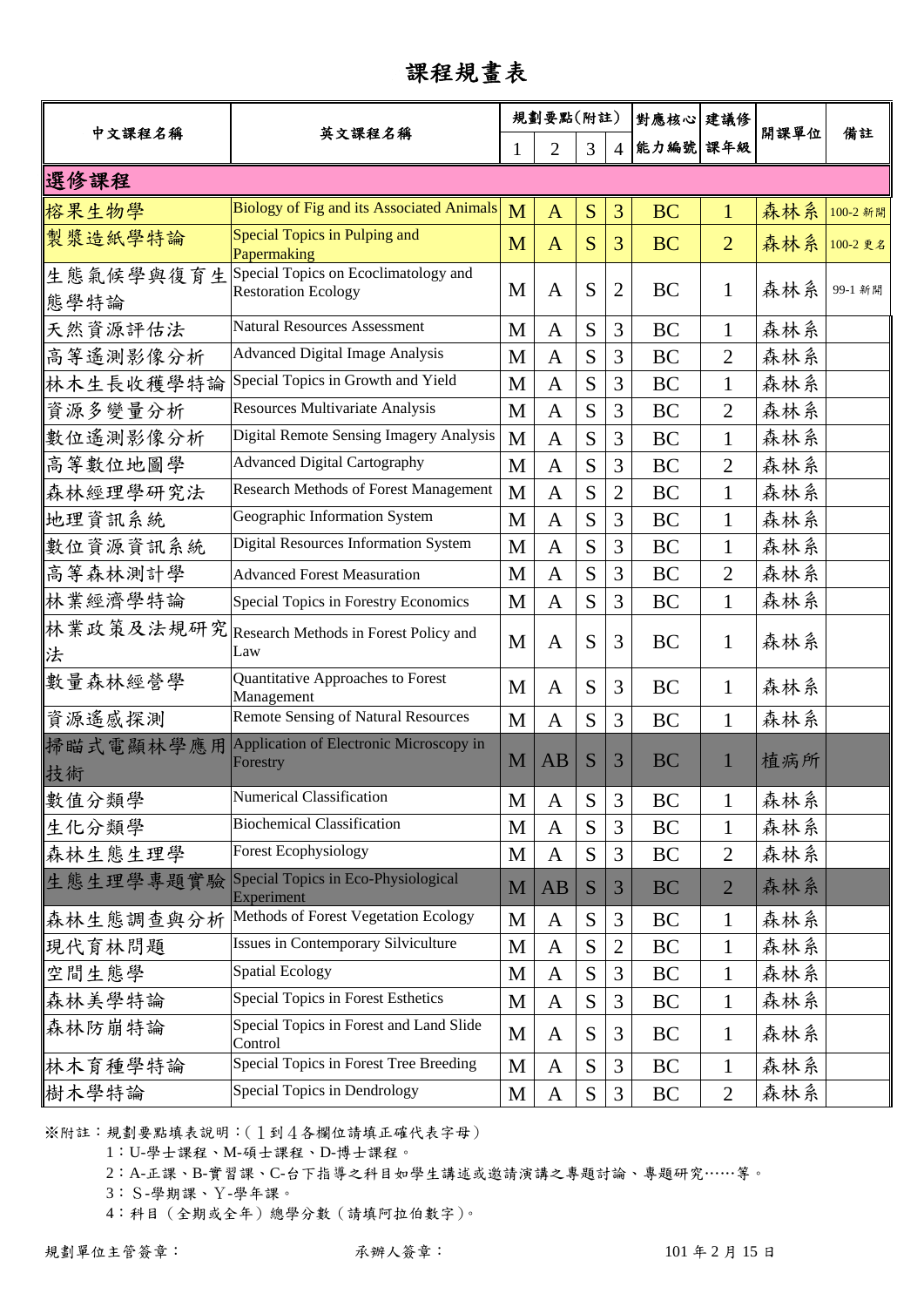## 課程規畫表

|                   |                                                                    |   | 規劃要點(附註)       |           | 對應核心 建議修       |           |                |      |          |
|-------------------|--------------------------------------------------------------------|---|----------------|-----------|----------------|-----------|----------------|------|----------|
| 中文課程名稱            | 英文課程名稱                                                             | 1 | 2              | 3         | 4              | 能力編號 課年級  |                | 開課單位 | 備註       |
| 選修課程              |                                                                    |   |                |           |                |           |                |      |          |
| 榕果生物學             | <b>Biology of Fig and its Associated Animals</b>                   | M | $\mathbf{A}$   | S         | 3              | <b>BC</b> | $\mathbf{1}$   | 森林系  | 100-2 新開 |
| 製漿造紙學特論           | Special Topics in Pulping and<br>Papermaking                       | M | $\mathbf{A}$   | S         | 3              | <b>BC</b> | $\overline{2}$ | 森林系  | 100-2 更名 |
| 生態氣候學與復育生<br>態學特論 | Special Topics on Ecoclimatology and<br><b>Restoration Ecology</b> | M | A              | S         | $\overline{2}$ | <b>BC</b> | 1              | 森林系  | 99-1 新開  |
| 天然資源評估法           | <b>Natural Resources Assessment</b>                                | M | $\mathbf{A}$   | S         | 3              | <b>BC</b> | $\mathbf{1}$   | 森林系  |          |
| 高等遙測影像分析          | <b>Advanced Digital Image Analysis</b>                             | M | A              | S         | 3              | <b>BC</b> | $\overline{2}$ | 森林系  |          |
| 林木生長收穫學特論         | Special Topics in Growth and Yield                                 | M | $\mathbf{A}$   | S         | 3              | <b>BC</b> | $\mathbf{1}$   | 森林系  |          |
| 資源多變量分析           | Resources Multivariate Analysis                                    | M | $\mathbf{A}$   | S         | 3              | <b>BC</b> | $\overline{2}$ | 森林系  |          |
| 數位遙測影像分析          | Digital Remote Sensing Imagery Analysis                            | M | $\mathbf{A}$   | S         | 3              | <b>BC</b> | $\mathbf{1}$   | 森林系  |          |
| 高等數位地圖學           | <b>Advanced Digital Cartography</b>                                | M | A              | S         | 3              | <b>BC</b> | $\overline{2}$ | 森林系  |          |
| 森林經理學研究法          | <b>Research Methods of Forest Management</b>                       | M | A              | S         | 2              | BC        | $\mathbf{1}$   | 森林系  |          |
| 地理資訊系統            | Geographic Information System                                      | M | A              | S         | 3              | <b>BC</b> | $\mathbf{1}$   | 森林系  |          |
| 數位資源資訊系統          | <b>Digital Resources Information System</b>                        | M | $\mathbf{A}$   | S         | 3              | BC        | $\mathbf{1}$   | 森林系  |          |
| 高等森林測計學           | <b>Advanced Forest Measuration</b>                                 | M | $\mathbf{A}$   | S         | 3              | <b>BC</b> | $\overline{2}$ | 森林系  |          |
| 林業經濟學特論           | Special Topics in Forestry Economics                               | M | $\overline{A}$ | S         | 3              | BC        | $\mathbf 1$    | 森林系  |          |
| 林業政策及法規研究<br>法    | Research Methods in Forest Policy and<br>Law                       | M | A              | S         | 3              | BC        | 1              | 森林系  |          |
| 數量森林經營學           | Quantitative Approaches to Forest<br>Management                    | M | A              | S         | 3              | <b>BC</b> | $\mathbf 1$    | 森林系  |          |
| 資源遙感探測            | <b>Remote Sensing of Natural Resources</b>                         | M | $\mathbf{A}$   | S         | 3              | <b>BC</b> | $\mathbf{1}$   | 森林系  |          |
| 掃瞄式電顯林學應用<br>技術   | Application of Electronic Microscopy in<br>Forestry                | M | AB             | S         | 3              | <b>BC</b> |                | 植病所  |          |
| 數值分類學             | <b>Numerical Classification</b>                                    | M | A              | S         | 3              | BC        | 1              | 森林系  |          |
| 生化分類學             | <b>Biochemical Classification</b>                                  | M | A              | S         | 3              | BC        | 1              | 森林系  |          |
| 森林生態生理學           | <b>Forest Ecophysiology</b>                                        | M | $\mathbf{A}$   | S         | 3              | <b>BC</b> | $\overline{2}$ | 森林系  |          |
| 生態生理學專題實驗         | Special Topics in Eco-Physiological<br>Experiment                  | M | AB             | S         | 3              | <b>BC</b> | $\overline{2}$ | 森林系  |          |
| 森林生態調查與分析         | Methods of Forest Vegetation Ecology                               | M | A              | S         | 3              | BC        | $\mathbf{1}$   | 森林系  |          |
| 現代育林問題            | <b>Issues in Contemporary Silviculture</b>                         | M | A              | S         | $\overline{2}$ | BC        | $\mathbf{1}$   | 森林系  |          |
| 空間生態學             | <b>Spatial Ecology</b>                                             | M | A              | S         | 3              | BC        | $\mathbf{1}$   | 森林系  |          |
| 森林美學特論            | <b>Special Topics in Forest Esthetics</b>                          | M | A              | S         | 3              | BC        | $\mathbf 1$    | 森林系  |          |
| 森林防崩特論            | Special Topics in Forest and Land Slide<br>Control                 | M | A              | S         | 3              | BC        | $\mathbf{1}$   | 森林系  |          |
| 林木育種學特論           | Special Topics in Forest Tree Breeding                             | M | A              | S         | 3              | <b>BC</b> | $\mathbf{1}$   | 森林系  |          |
| 樹木學特論             | Special Topics in Dendrology                                       | M | A              | ${\bf S}$ | 3              | BC        | $\overline{2}$ | 森林系  |          |

※附註:規劃要點填表說明:(1到4各欄位請填正確代表字母)

1:U-學士課程、M-碩士課程、D-博士課程。

2:A-正課、B-實習課、C-台下指導之科目如學生講述或邀請演講之專題討論、專題研究……等。

3:S-學期課、Y-學年課。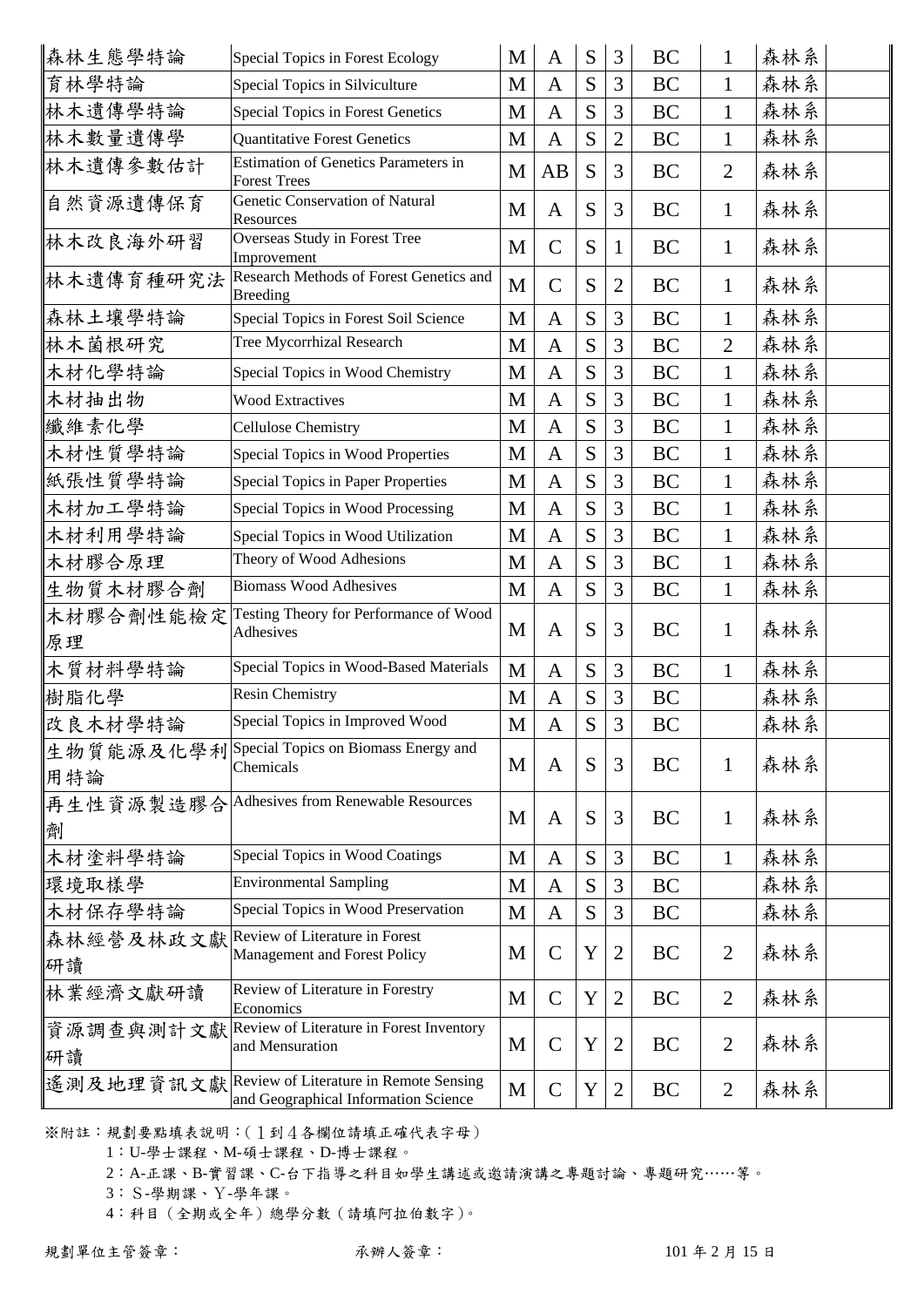| 森林生態學特論         | Special Topics in Forest Ecology                                                         | M | A              | S | 3              | <b>BC</b> | $\mathbf 1$    | 森林系 |  |
|-----------------|------------------------------------------------------------------------------------------|---|----------------|---|----------------|-----------|----------------|-----|--|
| 育林學特論           | Special Topics in Silviculture                                                           | M | A              | S | 3              | <b>BC</b> | $\mathbf{1}$   | 森林系 |  |
| 林木遺傳學特論         | Special Topics in Forest Genetics                                                        | M | A              | S | 3              | BC        | 1              | 森林系 |  |
| 林木數量遺傳學         | <b>Quantitative Forest Genetics</b>                                                      | M | $\mathsf{A}$   | S | $\mathfrak{2}$ | BC        | $\mathbf 1$    | 森林系 |  |
| 林木遺傳參數估計        | Estimation of Genetics Parameters in<br><b>Forest Trees</b>                              | M | AB             | S | 3              | <b>BC</b> | $\overline{2}$ | 森林系 |  |
| 自然資源遺傳保育        | Genetic Conservation of Natural<br>Resources                                             | M | $\mathbf{A}$   | S | 3              | <b>BC</b> | $\mathbf{1}$   | 森林系 |  |
| 林木改良海外研習        | Overseas Study in Forest Tree<br>Improvement                                             | M | $\mathcal{C}$  | S | $\mathbf{1}$   | <b>BC</b> | $\mathbf 1$    | 森林系 |  |
| 林木遺傳育種研究法       | Research Methods of Forest Genetics and<br><b>Breeding</b>                               | M | $\mathcal{C}$  | S | $\overline{2}$ | BC        | $\mathbf{1}$   | 森林系 |  |
| 森林土壤學特論         | Special Topics in Forest Soil Science                                                    | M | $\mathbf{A}$   | S | 3              | <b>BC</b> | 1              | 森林系 |  |
| 林木菌根研究          | Tree Mycorrhizal Research                                                                | M | $\mathbf{A}$   | S | 3              | <b>BC</b> | $\overline{2}$ | 森林系 |  |
| 木材化學特論          | Special Topics in Wood Chemistry                                                         | M | A              | S | 3              | <b>BC</b> | $\mathbf{1}$   | 森林系 |  |
| 木材抽出物           | <b>Wood Extractives</b>                                                                  | M | A              | S | 3              | BC        | $\mathbf{1}$   | 森林系 |  |
| 纖維素化學           | <b>Cellulose Chemistry</b>                                                               | M | $\mathbf{A}$   | S | 3              | <b>BC</b> | $\mathbf{1}$   | 森林系 |  |
| 木材性質學特論         | Special Topics in Wood Properties                                                        | M | $\mathbf{A}$   | S | 3              | <b>BC</b> | $\mathbf{1}$   | 森林系 |  |
| 紙張性質學特論         | Special Topics in Paper Properties                                                       | M | $\overline{A}$ | S | 3              | <b>BC</b> | $\mathbf{1}$   | 森林系 |  |
| 木材加工學特論         | Special Topics in Wood Processing                                                        | M | $\mathbf{A}$   | S | 3              | BC        | $\mathbf{1}$   | 森林系 |  |
| 木材利用學特論         | Special Topics in Wood Utilization                                                       | M | $\mathbf{A}$   | S | 3              | BC        | $\mathbf{1}$   | 森林系 |  |
| 木材膠合原理          | Theory of Wood Adhesions                                                                 | M | $\mathbf{A}$   | S | 3              | <b>BC</b> | $\mathbf{1}$   | 森林系 |  |
| 生物質木材膠合劑        | <b>Biomass Wood Adhesives</b>                                                            | M | $\mathbf{A}$   | S | 3              | <b>BC</b> | $\mathbf{1}$   | 森林系 |  |
| 木材膠合劑性能檢定<br>原理 | Testing Theory for Performance of Wood<br>Adhesives                                      | M | $\mathbf{A}$   | S | 3              | <b>BC</b> | $\mathbf{1}$   | 森林系 |  |
| 木質材料學特論         | Special Topics in Wood-Based Materials                                                   | M | A              | S | 3              | <b>BC</b> | $\mathbf{1}$   | 森林系 |  |
| 樹脂化學            | <b>Resin Chemistry</b>                                                                   | M | A              | S | 3              | BC        |                | 森林系 |  |
| 改良木材學特論         | Special Topics in Improved Wood                                                          | M | $\mathbf{A}$   | S | 3              | BC        |                | 森林系 |  |
| 用特論             | 生物質能源及化學利Special Topics on Biomass Energy and<br>Chemicals                               | M | A              | S | 3              | BC        | 1              | 森林系 |  |
| 劑               | 再生性資源製造膠合 Adhesives from Renewable Resources                                             | M | A              | S | 3              | BC        | $\mathbf{1}$   | 森林系 |  |
| 木材塗料學特論         | Special Topics in Wood Coatings                                                          | M | A              | S | 3              | BC        | $\mathbf 1$    | 森林系 |  |
| 環境取樣學           | <b>Environmental Sampling</b>                                                            | M | A              | S | 3              | <b>BC</b> |                | 森林系 |  |
| 木材保存學特論         | Special Topics in Wood Preservation                                                      | M | A              | S | 3              | BC        |                | 森林系 |  |
| 森林經營及林政文獻<br>研讀 | Review of Literature in Forest<br>Management and Forest Policy                           | M | $\mathcal{C}$  | Y | 2              | BC        | $\overline{2}$ | 森林系 |  |
| 林業經濟文獻研讀        | Review of Literature in Forestry<br>Economics                                            | M | $\mathcal{C}$  | Y | $\overline{2}$ | BC        | $\overline{2}$ | 森林系 |  |
| 資源調查與測計文獻<br>研讀 | Review of Literature in Forest Inventory<br>and Mensuration                              | M | $\mathsf{C}$   | Y | 2              | BC        | $\overline{2}$ | 森林系 |  |
|                 | 遙測及地理資訊文獻 Review of Literature in Remote Sensing<br>and Geographical Information Science | M | $\mathsf{C}$   | Y | 2              | <b>BC</b> | $\overline{2}$ | 森林系 |  |

※附註:規劃要點填表說明:(1到4各欄位請填正確代表字母)

1:U-學士課程、M-碩士課程、D-博士課程。

2:A-正課、B-實習課、C-台下指導之科目如學生講述或邀請演講之專題討論、專題研究……等。

3:S-學期課、Y-學年課。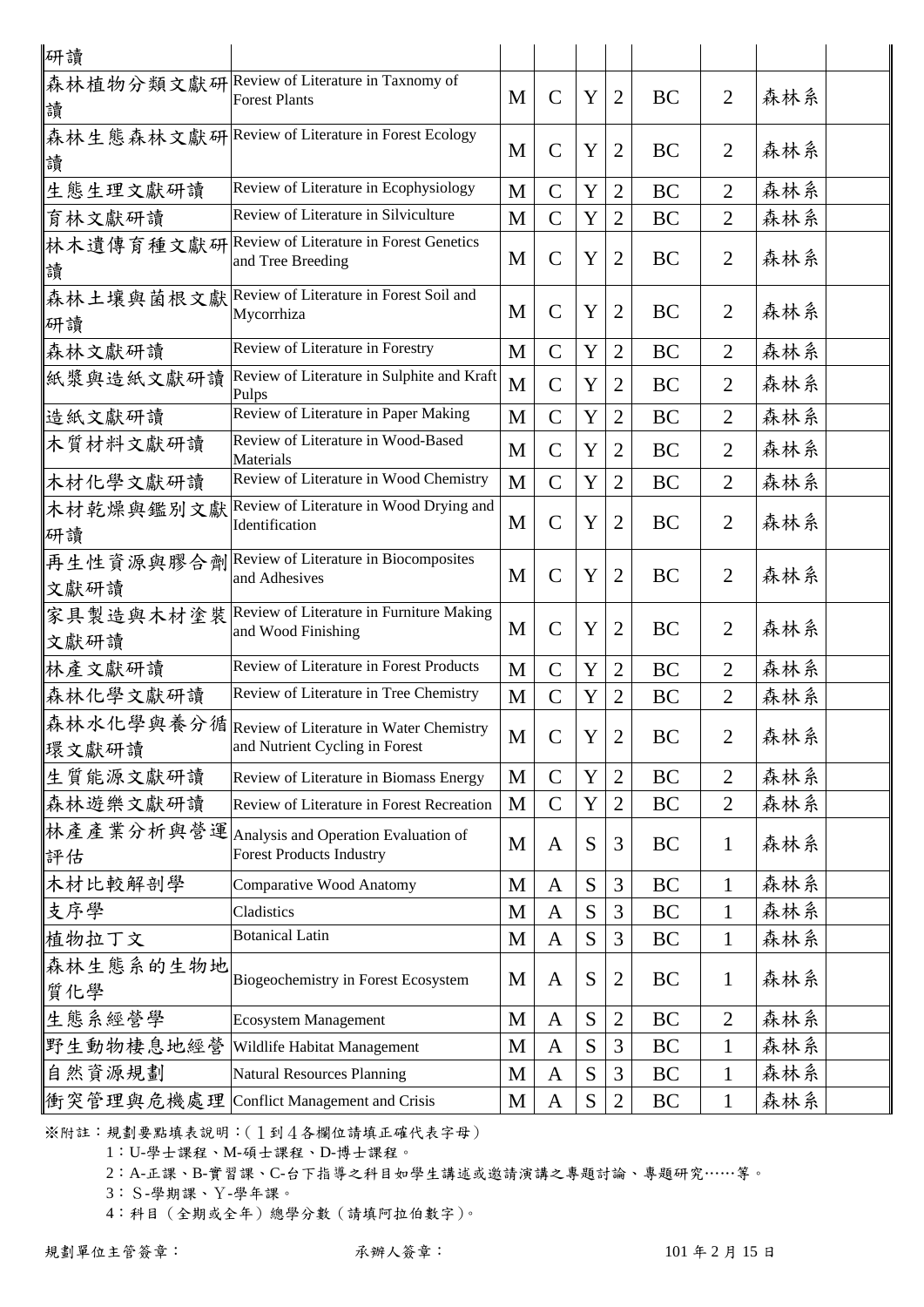| 研讀                |                                                                                      |   |               |   |                |           |                |     |  |
|-------------------|--------------------------------------------------------------------------------------|---|---------------|---|----------------|-----------|----------------|-----|--|
| 讀                 | 森林植物分類文獻研 Review of Literature in Taxnomy of<br><b>Forest Plants</b>                 | M | $\mathcal{C}$ | Y | $\overline{2}$ | <b>BC</b> | $\overline{2}$ | 森林系 |  |
| 讀                 | 森林生態森林文獻研 Review of Literature in Forest Ecology                                     | M | $\mathbf C$   | Y | $\overline{2}$ | <b>BC</b> | $\overline{2}$ | 森林系 |  |
| 生態生理文獻研讀          | Review of Literature in Ecophysiology                                                | M | $\mathcal{C}$ | Y | $\overline{2}$ | BC        | 2              | 森林系 |  |
| 育林文獻研讀            | Review of Literature in Silviculture                                                 | M | $\mathcal{C}$ | Y | $\overline{2}$ | BC        | $\overline{2}$ | 森林系 |  |
| 讀                 | 林木遺傳育種文獻研  Review of Literature in Forest Genetics<br>and Tree Breeding              | M | $\mathsf{C}$  | Y | $\overline{2}$ | BC        | $\overline{2}$ | 森林系 |  |
| 研讀                | 森林土壤與菌根文獻 Review of Literature in Forest Soil and<br>Mycorrhiza                      | M | $\mathbf C$   | Y | $\overline{2}$ | BC        | $\overline{2}$ | 森林系 |  |
| 森林文獻研讀            | Review of Literature in Forestry                                                     | M | $\mathsf{C}$  | Y | $\overline{2}$ | <b>BC</b> | $\overline{2}$ | 森林系 |  |
| 紙漿與造紙文獻研讀         | Review of Literature in Sulphite and Kraft<br>Pulps                                  | M | $\mathsf{C}$  | Y | $\overline{2}$ | BC        | $\overline{2}$ | 森林系 |  |
| 造紙文獻研讀            | Review of Literature in Paper Making                                                 | M | $\mathsf{C}$  | Y | $\overline{2}$ | <b>BC</b> | $\overline{2}$ | 森林系 |  |
| 木質材料文獻研讀          | Review of Literature in Wood-Based<br>Materials                                      | M | $\mathbf C$   | Y | $\overline{2}$ | BC        | $\overline{2}$ | 森林系 |  |
| 木材化學文獻研讀          | Review of Literature in Wood Chemistry                                               | M | $\mathsf{C}$  | Y | $\overline{2}$ | <b>BC</b> | $\overline{2}$ | 森林系 |  |
| 木材乾燥與鑑別文獻<br>研讀   | Review of Literature in Wood Drying and<br>Identification                            | M | $\mathbf C$   | Y | $\overline{2}$ | BC        | $\overline{2}$ | 森林系 |  |
| 文獻研讀              | 再生性資源與膠合劑 Review of Literature in Biocomposites<br>and Adhesives                     | M | $\mathsf{C}$  | Y | $\overline{2}$ | <b>BC</b> | $\overline{2}$ | 森林系 |  |
| 家具製造與木材塗裝<br>文獻研讀 | Review of Literature in Furniture Making<br>and Wood Finishing                       | M | $\mathsf{C}$  | Y | $\overline{2}$ | BC        | $\overline{2}$ | 森林系 |  |
| 林產文獻研讀            | Review of Literature in Forest Products                                              | M | $\mathsf{C}$  | Y | $\overline{2}$ | <b>BC</b> | $\overline{2}$ | 森林系 |  |
| 森林化學文獻研讀          | Review of Literature in Tree Chemistry                                               | M | $\mathsf{C}$  | Y | $\overline{2}$ | BC        | $\overline{2}$ | 森林系 |  |
| 環文獻研讀             | ∥森林水化學與養分循│Review of Literature in Water Chemistry<br>and Nutrient Cycling in Forest | M | $\mathcal{C}$ | Y | $\overline{2}$ | <b>BC</b> | $\overline{2}$ | 森林系 |  |
| 生質能源文獻研讀          | Review of Literature in Biomass Energy                                               | M | $\mathcal{C}$ | Y | $\overline{2}$ | BC        | $\overline{2}$ | 森林系 |  |
| 森林遊樂文獻研讀          | Review of Literature in Forest Recreation                                            | M | $\mathsf{C}$  | Y | $\overline{2}$ | BC        | $\overline{2}$ | 森林系 |  |
| 林產產業分析與營運<br>評估   | Analysis and Operation Evaluation of<br><b>Forest Products Industry</b>              | M | A             | S | 3              | BC        | $\mathbf{1}$   | 森林系 |  |
| 木材比較解剖學           | <b>Comparative Wood Anatomy</b>                                                      | M | $\mathbf{A}$  | S | 3              | <b>BC</b> | $\mathbf{1}$   | 森林系 |  |
| 支序學               | Cladistics                                                                           | M | $\mathbf{A}$  | S | 3              | <b>BC</b> | $\mathbf{1}$   | 森林系 |  |
| 植物拉丁文             | <b>Botanical Latin</b>                                                               | M | $\mathbf{A}$  | S | 3              | BC        | $\mathbf{1}$   | 森林系 |  |
| 森林生態系的生物地<br>質化學  | Biogeochemistry in Forest Ecosystem                                                  | M | A             | S | $\overline{2}$ | BC        | $\mathbf{1}$   | 森林系 |  |
| 生態系經營學            | <b>Ecosystem Management</b>                                                          | M | $\mathbf{A}$  | S | $\mathfrak{2}$ | BC        | $\overline{2}$ | 森林系 |  |
| 野生動物棲息地經營         | Wildlife Habitat Management                                                          | M | $\mathbf{A}$  | S | 3              | BC        | $\mathbf{1}$   | 森林系 |  |
| 自然資源規劃            | <b>Natural Resources Planning</b>                                                    | M | $\mathbf{A}$  | S | 3              | BC        | $\mathbf{1}$   | 森林系 |  |
| 街突管理與危機處理         | Conflict Management and Crisis                                                       | M | A             | S | $\mathfrak{2}$ | BC        | $\mathbf{1}$   | 森林系 |  |

※附註:規劃要點填表說明:(1到4各欄位請填正確代表字母)

1:U-學士課程、M-碩士課程、D-博士課程。

2:A-正課、B-實習課、C-台下指導之科目如學生講述或邀請演講之專題討論、專題研究……等。

3:S-學期課、Y-學年課。